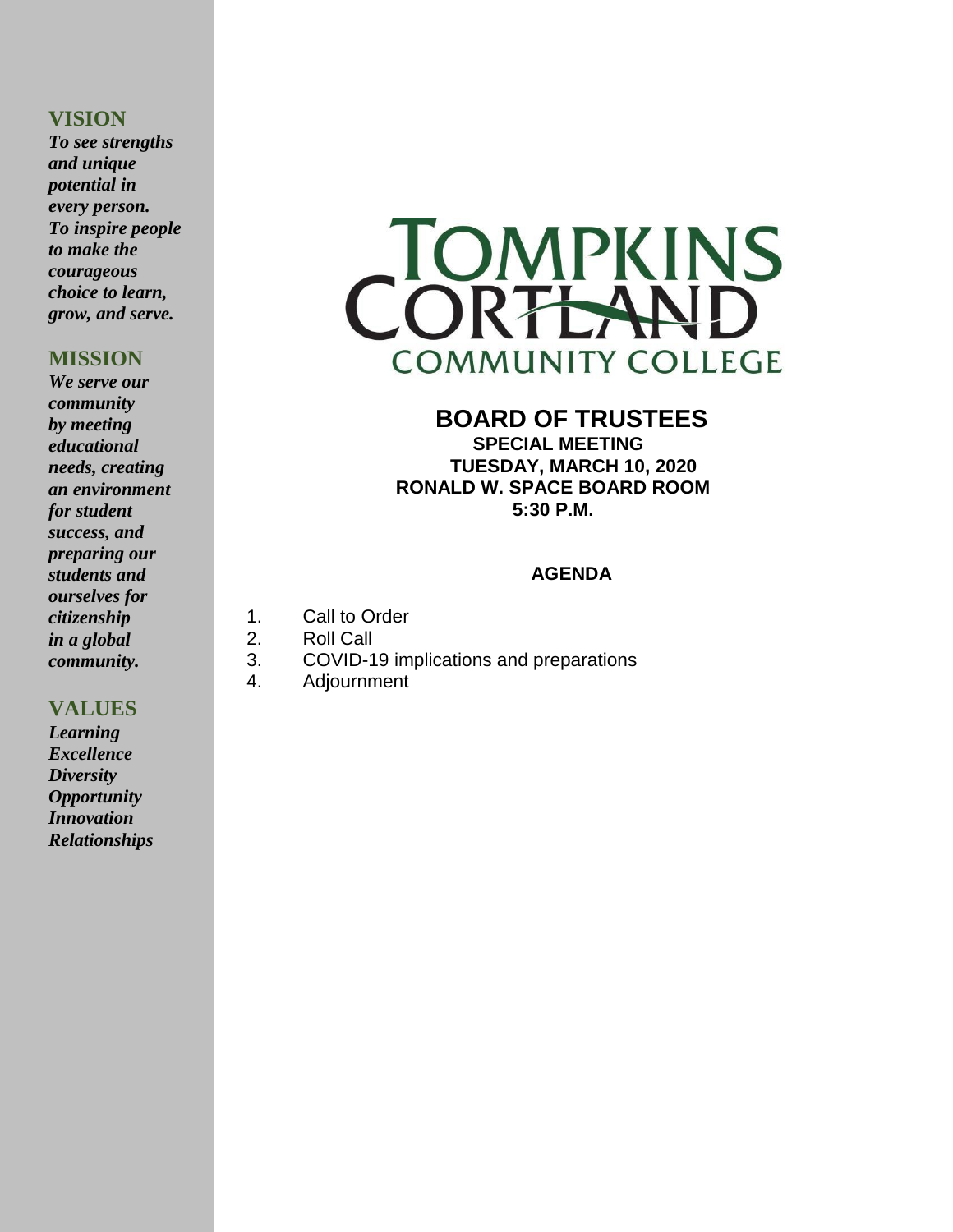#### **VISION**

*To see strengths and unique potential in every person. To inspire people to make the courageous choice to learn, grow, and serve.*

#### **MISSION**

*We serve our community by meeting educational needs, creating an environment for student success, and preparing our students and ourselves for citizenship in a global community.*

#### **VALUES**

*Learning Excellence Diversity Opportunity Innovation Relationships*



### **BOARD OF TRUSTEES SPECIAL MEETING**

 **TUESDAY, MARCH 10, 2020 RONALD W. SPACE BOARD ROOM 5:30 P.M.**

#### **AGENDA**

- 1. Call to Order
- 2. Roll Call
- 3. COVID-19 implications and preparations
- 4. Adjournment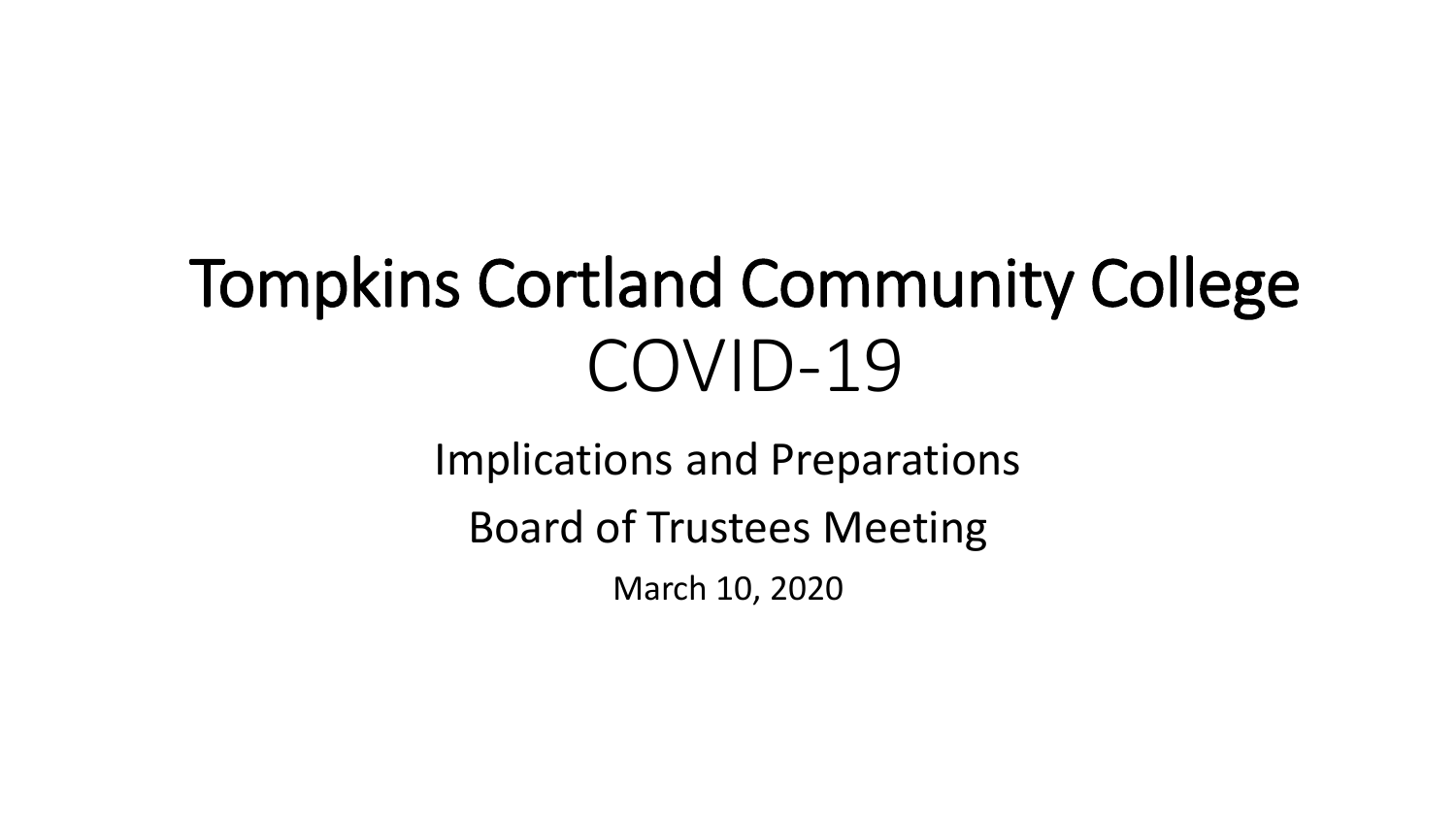# Tompkins Cortland Community College COVID-19

Implications and Preparations

Board of Trustees Meeting

March 10, 2020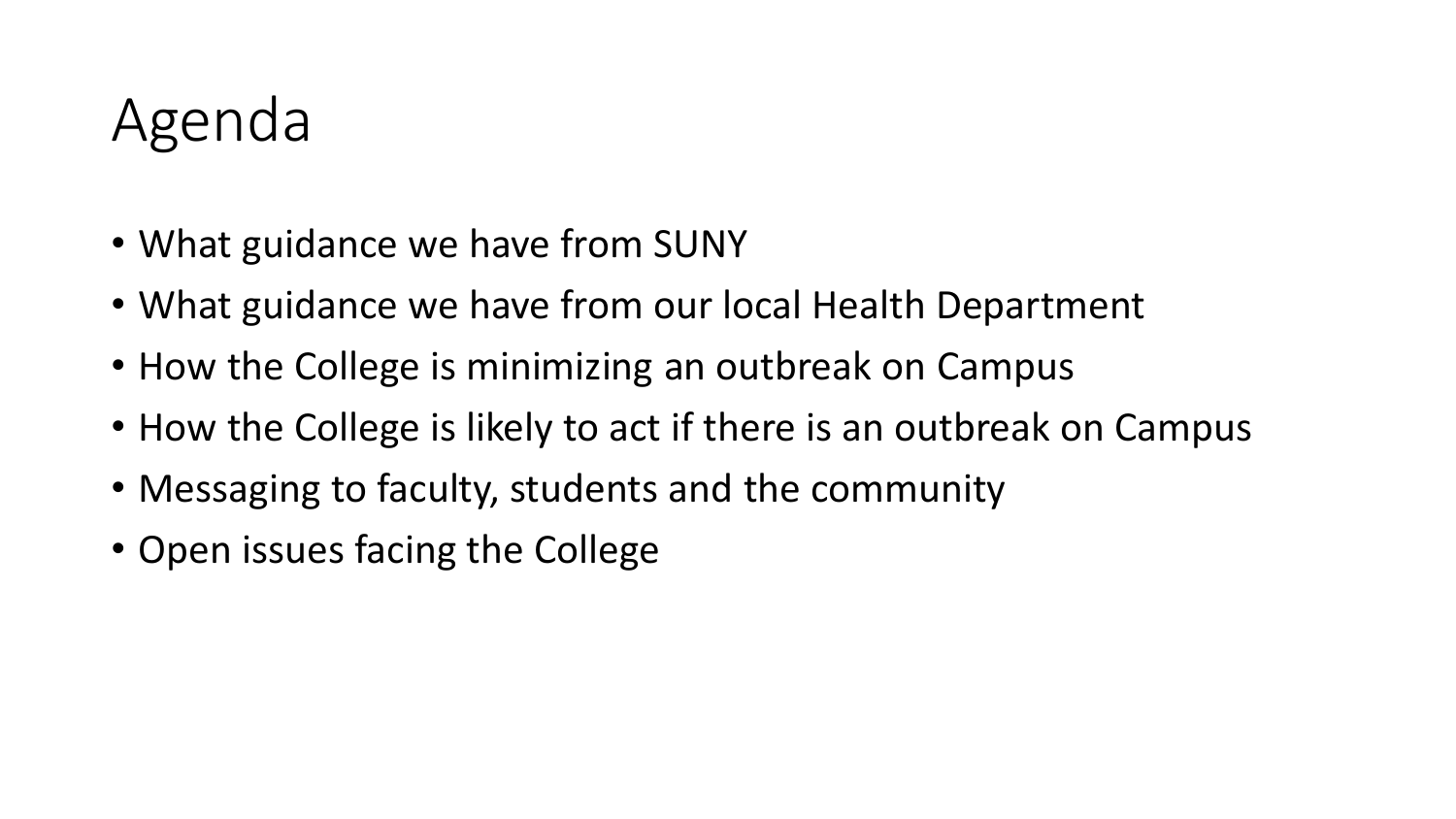## Agenda

- What guidance we have from SUNY
- What guidance we have from our local Health Department
- How the College is minimizing an outbreak on Campus
- How the College is likely to act if there is an outbreak on Campus
- Messaging to faculty, students and the community
- Open issues facing the College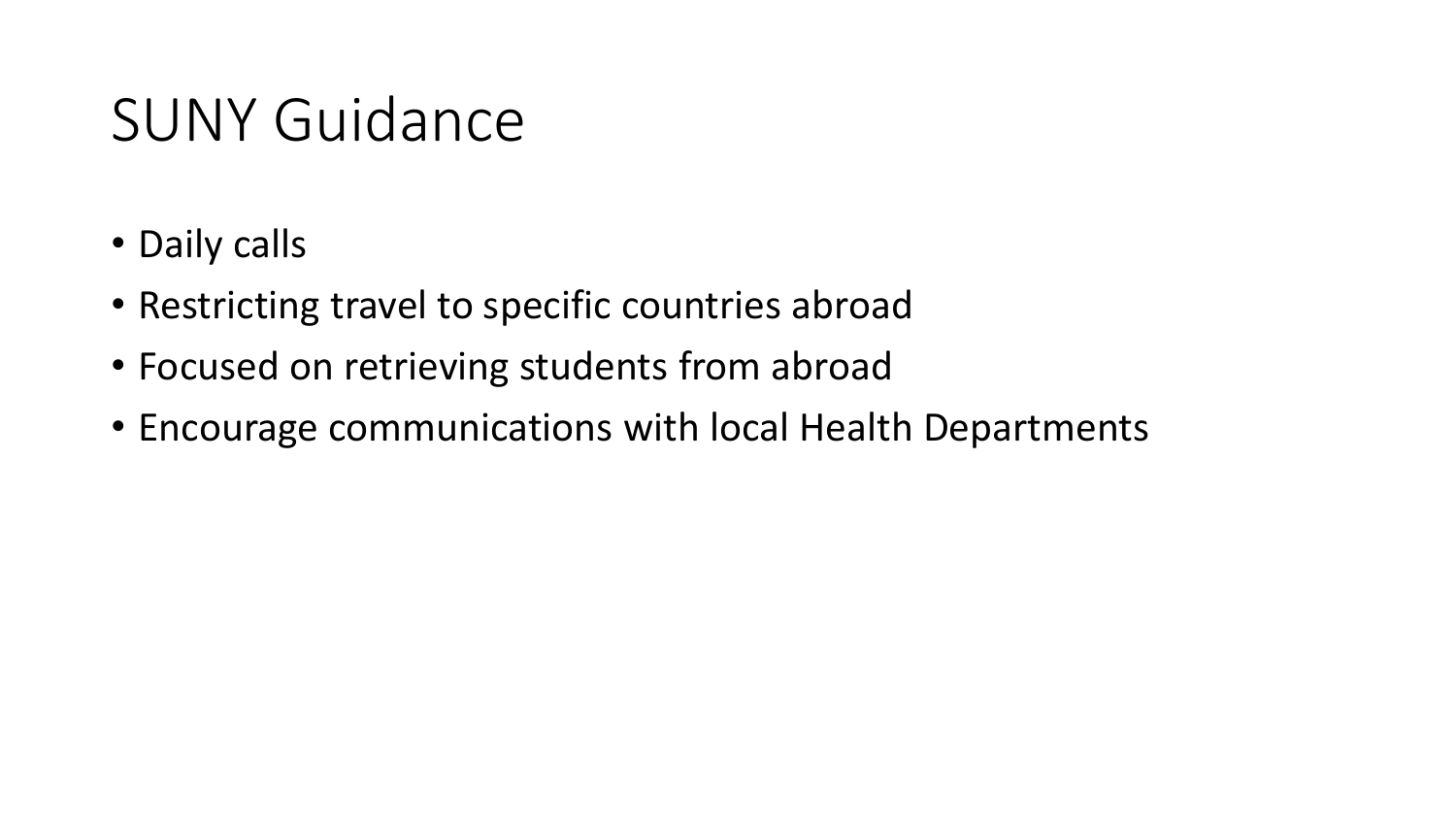### SUNY Guidance

- Daily calls
- Restricting travel to specific countries abroad
- Focused on retrieving students from abroad
- Encourage communications with local Health Departments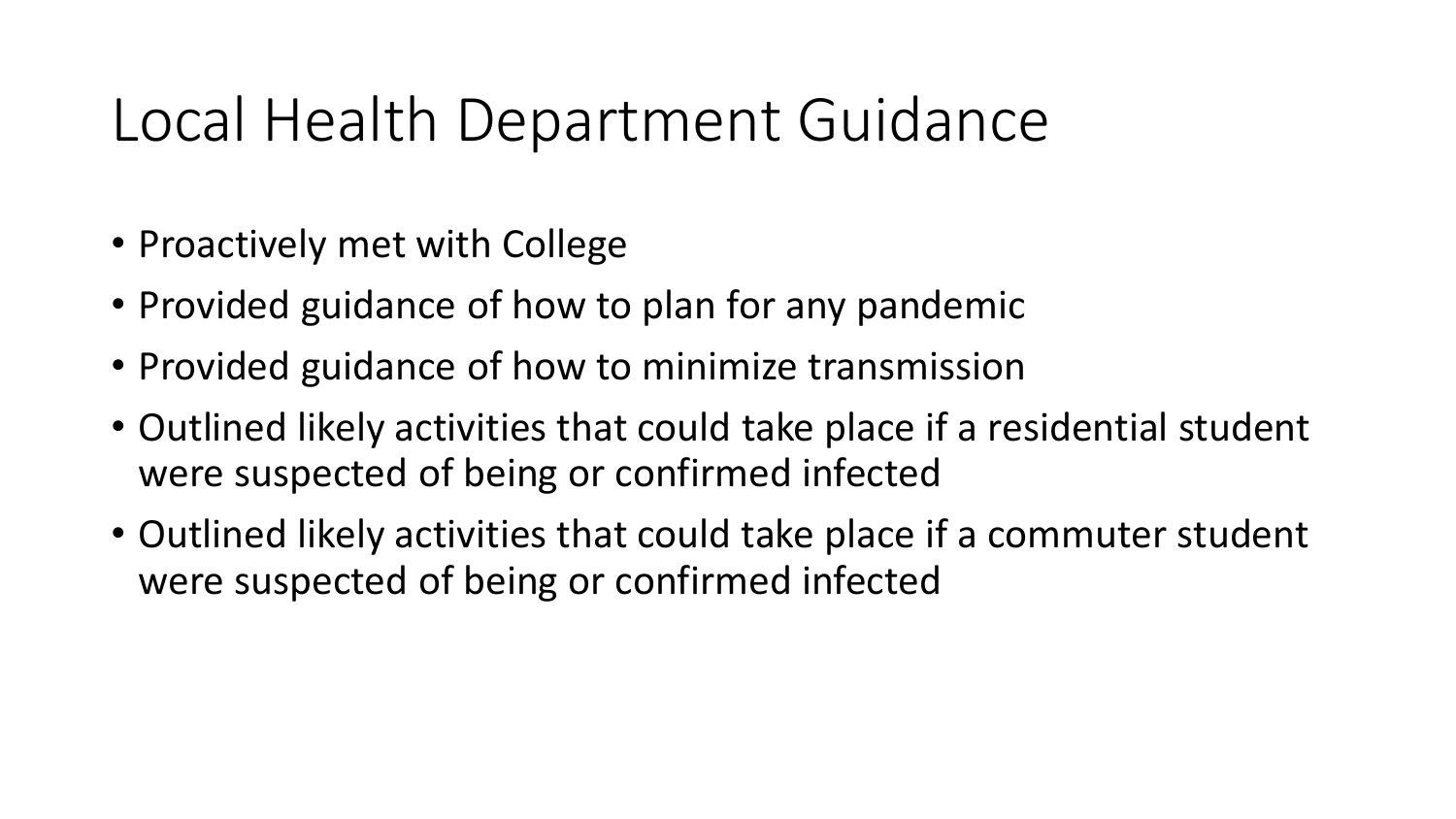## Local Health Department Guidance

- Proactively met with College
- Provided guidance of how to plan for any pandemic
- Provided guidance of how to minimize transmission
- Outlined likely activities that could take place if a residential student were suspected of being or confirmed infected
- Outlined likely activities that could take place if a commuter student were suspected of being or confirmed infected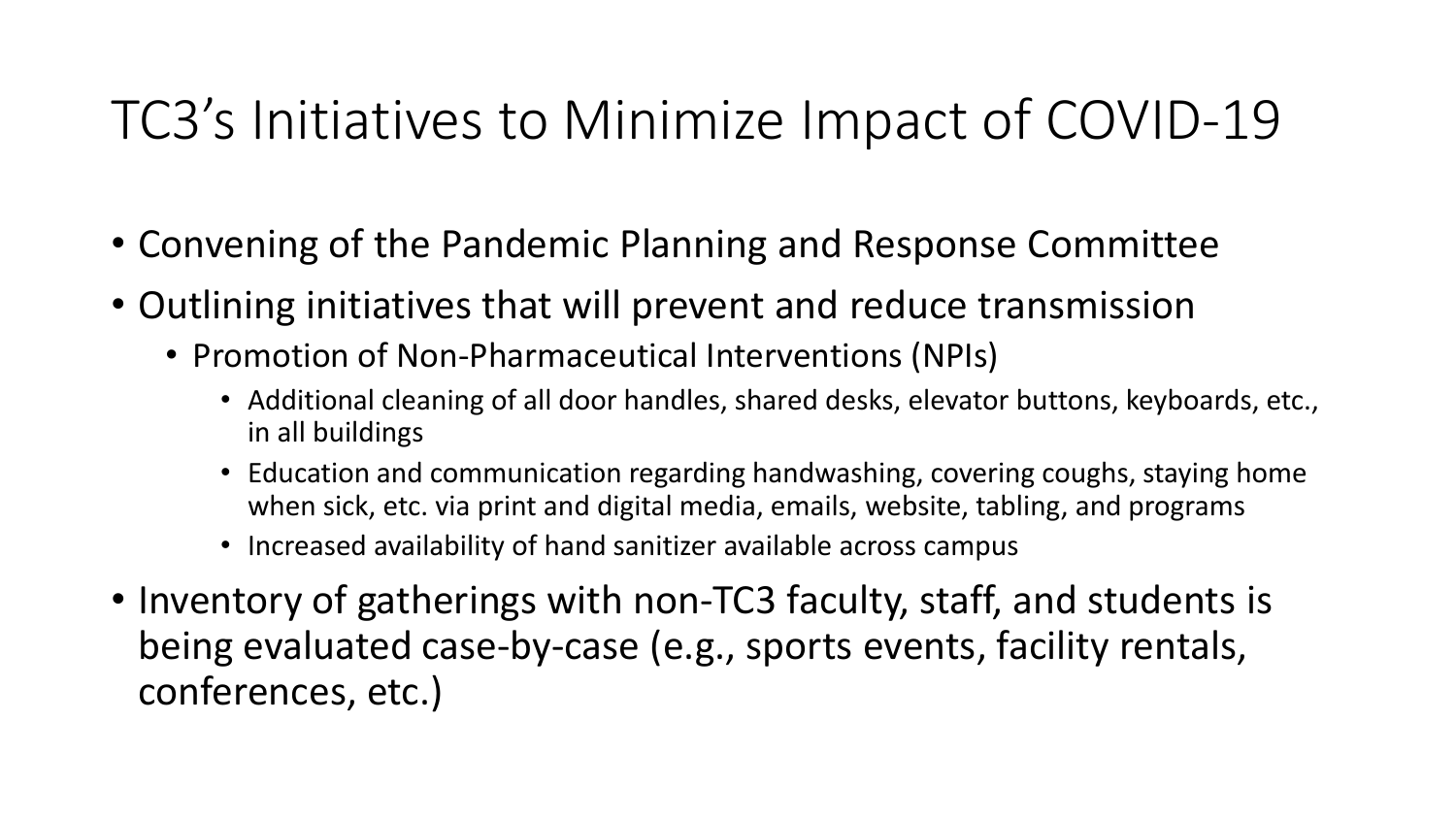### TC3's Initiatives to Minimize Impact of COVID-19

- Convening of the Pandemic Planning and Response Committee
- Outlining initiatives that will prevent and reduce transmission
	- Promotion of Non-Pharmaceutical Interventions (NPIs)
		- Additional cleaning of all door handles, shared desks, elevator buttons, keyboards, etc., in all buildings
		- Education and communication regarding handwashing, covering coughs, staying home when sick, etc. via print and digital media, emails, website, tabling, and programs
		- Increased availability of hand sanitizer available across campus
- Inventory of gatherings with non-TC3 faculty, staff, and students is being evaluated case-by-case (e.g., sports events, facility rentals, conferences, etc.)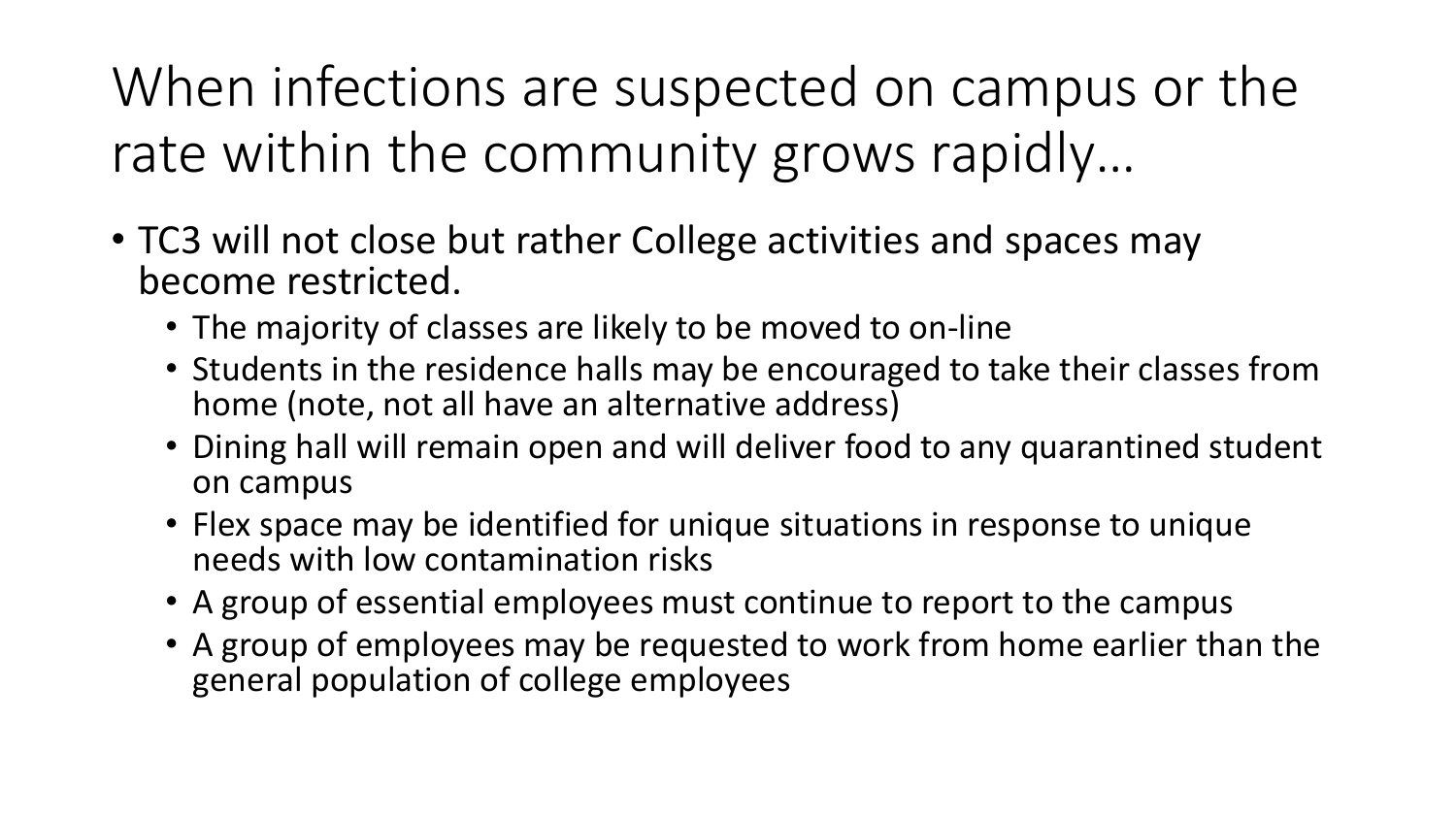When infections are suspected on campus or the rate within the community grows rapidly…

- TC3 will not close but rather College activities and spaces may become restricted.
	- The majority of classes are likely to be moved to on-line
	- Students in the residence halls may be encouraged to take their classes from home (note, not all have an alternative address)
	- Dining hall will remain open and will deliver food to any quarantined student on campus
	- Flex space may be identified for unique situations in response to unique needs with low contamination risks
	- A group of essential employees must continue to report to the campus
	- A group of employees may be requested to work from home earlier than the general population of college employees